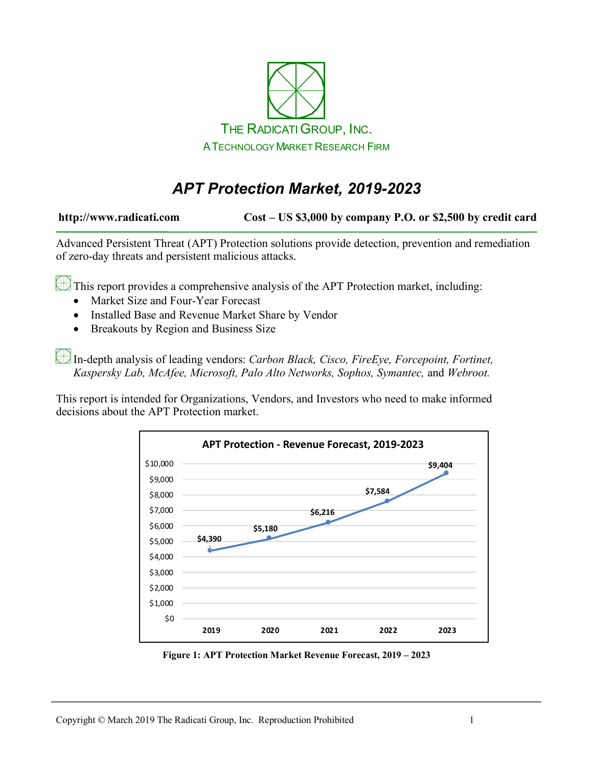

# *APT Protection Market, 2019-2023*

**http://www.radicati.com Cost – US \$3,000 by company P.O. or \$2,500 by credit card**

Advanced Persistent Threat (APT) Protection solutions provide detection, prevention and remediation of zero-day threats and persistent malicious attacks.

This report provides a comprehensive analysis of the APT Protection market, including:

- Market Size and Four-Year Forecast
- Installed Base and Revenue Market Share by Vendor
- Breakouts by Region and Business Size

In-depth analysis of leading vendors: *Carbon Black, Cisco, FireEye, Forcepoint, Fortinet, Kaspersky Lab, McAfee, Microsoft, Palo Alto Networks, Sophos, Symantec,* and *Webroot.*

This report is intended for Organizations, Vendors, and Investors who need to make informed decisions about the APT Protection market.



**Figure 1: APT Protection Market Revenue Forecast, 2019 – 2023**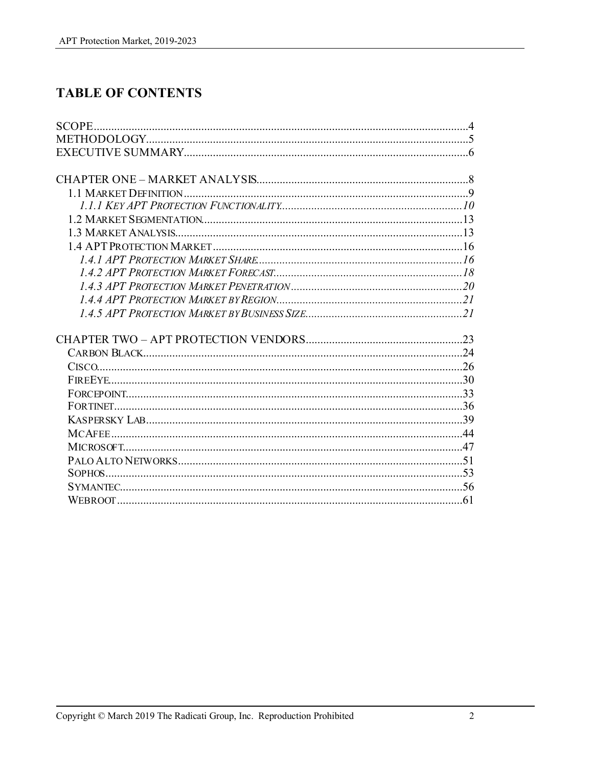# **TABLE OF CONTENTS**

| <b>SCOPE.</b> |  |
|---------------|--|
|               |  |
|               |  |
|               |  |
|               |  |
|               |  |
|               |  |
|               |  |
|               |  |
|               |  |
|               |  |
|               |  |
|               |  |
|               |  |
|               |  |
|               |  |
|               |  |
|               |  |
|               |  |
|               |  |
|               |  |
|               |  |
|               |  |
|               |  |
|               |  |
|               |  |
|               |  |
|               |  |
|               |  |
|               |  |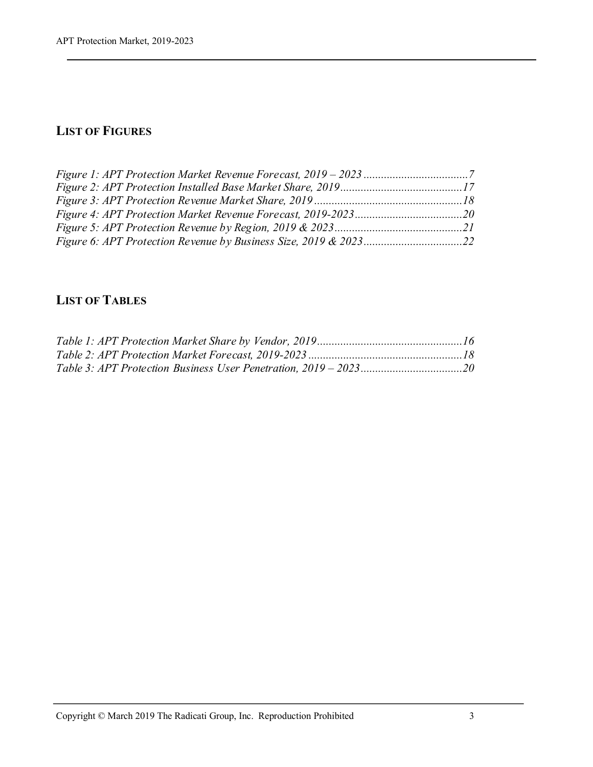## **LIST OF FIGURES**

| <i>Figure 6: APT Protection Revenue by Business Size, 2019 &amp; 202322</i> |  |
|-----------------------------------------------------------------------------|--|

### **LIST OF TABLES**